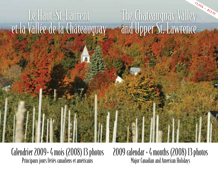# 13,95\$ – \$13.95 The Chateauguay Valley and Upper St. Lawrence LeHaut-St-Laurent et la Vallée de la Châteauguay

Calendrier 2009+4 mois (2008) 13 photos Principaux jours fériés canadiens et américains

2009 calendar  $+4$  months (2008) 13 photos Major Canadian and American Holidays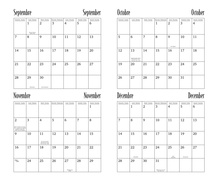## Septembre September

| Dimanche · Sunday | Lundi · Monday<br>1           | Mardi · Tuesday<br>$\overline{2}$ | Mercredi • Wednesday<br>3 | Jeudi · Thursday<br>4 | Vendredi · Friday<br>5 | Samedi · Saturday<br>6 |
|-------------------|-------------------------------|-----------------------------------|---------------------------|-----------------------|------------------------|------------------------|
|                   | Fête du Travail<br>Labour Day |                                   |                           |                       |                        |                        |
| 7                 | 8                             | 9                                 | 10                        | 11                    | 12                     | 13                     |
| 14                | 15                            | 16                                | 17                        | 18                    | 19                     | 20                     |
| 21                | 22                            | 23                                | 24                        | 25                    | 26                     | 27                     |
| 28                | 29<br>Michaelmas              | 30<br>Rosh Hashanah               |                           |                       |                        |                        |

## Novembre November Décembre December

| Dimanche * Sunday                                                                                                          | Lundi · Monday | Mardi • Tuesday                                                 | Mercredi • Wednesday | Jeudi · Thursday            | Vendredi · Friday | Samedi · Saturday<br>1 |
|----------------------------------------------------------------------------------------------------------------------------|----------------|-----------------------------------------------------------------|----------------------|-----------------------------|-------------------|------------------------|
| $\overline{2}$<br>Heure avancée se termine<br>(É.-U., majorité du Canada)<br>Daylight Saving Ends<br>(USA, most of Canada) | 3              | 4                                                               | 5                    | 6                           | 7                 | 8                      |
| 9                                                                                                                          | 10             | 11<br>Jour du Souvenir<br>Remembrance Day<br>Veterans Day (USA) | 12                   | 13                          | 14                | 15                     |
| 16                                                                                                                         | 17             | 18                                                              | 19                   | 20                          | 21                | 22                     |
| $\frac{23}{30}$                                                                                                            | 24             | 25                                                              | 26                   | 27<br>Thanksgiving<br>(USA) | 28                | 29                     |

## Octobre October



| Dimanche * Sunday | Lundi • Monday                                                            | Mardi · Tuesday | Mercredi • Wednesday<br>$\mathbf{1}$ | Jeudi · Thursday<br>$\overline{2}$ | Vendredi · Friday<br>3 | Samedi · Saturday<br>4 |
|-------------------|---------------------------------------------------------------------------|-----------------|--------------------------------------|------------------------------------|------------------------|------------------------|
| 5                 | 6                                                                         | 7               | 8                                    | 9<br>Yom Kippur                    | 10                     | 11                     |
| 12                | 13<br>Action de grâce (Can.)<br>Thanksgiving (Can.)<br>Columbus Day (USA) | 14              | 15                                   | 16                                 | 17                     | 18                     |
| 19                | 20                                                                        | 21              | 22                                   | 23                                 | 24                     | 25                     |
| 26                | 27                                                                        | 28              | 29                                   | 30                                 | 31                     |                        |

| Dimanche · Sunday | Lundi • Monday<br>1 | Mardi · Tuesday<br>$\overline{2}$ | Mercredi • Wednesday<br>3                | Jeudi · Thursday<br>4 | Vendredi · Friday<br>5 | Samedi · Saturday<br>6 |
|-------------------|---------------------|-----------------------------------|------------------------------------------|-----------------------|------------------------|------------------------|
| 7                 | 8                   | 9                                 | 10                                       | 11                    | 12                     | 13                     |
| 14                | 15                  | 16                                | 17                                       | 18                    | 19                     | 20                     |
| 21                | 22                  | 23                                | 24                                       | 25                    | 26                     | 27                     |
| 28                | Hanukkah<br>29      | 30                                | 31                                       | Noël<br>Christmas     | <b>Boxing Day</b>      |                        |
|                   |                     |                                   | Veille du jour de l'An<br>New Year's Eve |                       |                        |                        |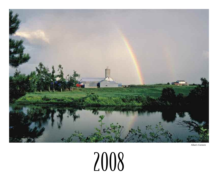

Allan's Corners

## 2008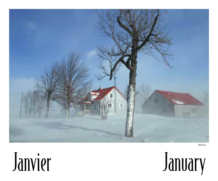

Mercier



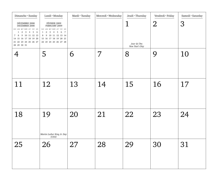| Dimanche • Sunday<br>DÉCEMBRE 2008<br>DECEMBER 2008<br>$\rm D/S$ $\;$ L/M $\;$ M/T $\;$ M/W $\;$ J/T $\;$ V/F $\;$ S/S $\;$<br>$1\quad 2\quad 3\quad 4\quad 5\quad 6$<br>7 8 9 10 11 12 13<br>14    15    16    17    18    19    20<br>21    22    23    24    25    26    27<br>28 29 30 31 | Lundi · Monday<br>FÉVRIER 2009<br>FEBRUARY 2009<br>$\rm D/S$ $\;$ L/M $\;$ M/T $\;$ M/W $\;$ J/T $\;$ V/F $\;$ S/S $\;$<br>$1 \t2 \t3 \t4 \t5 \t6 \t7$<br>8 9 10 11 12 13 14<br>15 16 17 18 19 20 21<br>22 23 24 25 26 27 28 | Mardi • Tuesday | Mercredi · Wednesday | Jeudi . Thursday<br>⊥<br>Jour de l'An<br>New Year's Day | Vendredi · Friday<br>$\overline{2}$ | Samedi · Saturday<br>3 |
|-----------------------------------------------------------------------------------------------------------------------------------------------------------------------------------------------------------------------------------------------------------------------------------------------|------------------------------------------------------------------------------------------------------------------------------------------------------------------------------------------------------------------------------|-----------------|----------------------|---------------------------------------------------------|-------------------------------------|------------------------|
|                                                                                                                                                                                                                                                                                               | 5                                                                                                                                                                                                                            | 6               | 7                    | 8                                                       | 9                                   | 10                     |
| 11                                                                                                                                                                                                                                                                                            | 12                                                                                                                                                                                                                           | 13              | 14                   | 15                                                      | 16                                  | 17                     |
| 18                                                                                                                                                                                                                                                                                            | 19<br>Martin Luther King Jr. Day<br>(USA)                                                                                                                                                                                    | 20              | 21                   | 22                                                      | 23                                  | 24                     |
| 25                                                                                                                                                                                                                                                                                            | 26                                                                                                                                                                                                                           | 27              | 28                   | 29                                                      | 30                                  | 31                     |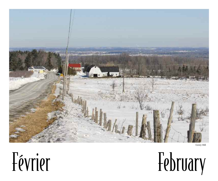

Covey Hill

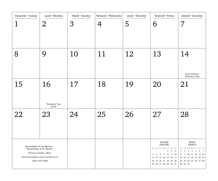| Dimanche • Sunday                                                                                     | Lundi · Monday<br>$\overline{2}$           | Mardi • Tuesday<br>$\mathfrak{Z}$ | Mercredi · Wednesday<br>4 | Jeudi • Thursday<br>5 | Vendredi · Friday<br>6                                                                                                                                                                                                                               | Samedi · Saturday<br>7                                                                                                                                                                                                              |
|-------------------------------------------------------------------------------------------------------|--------------------------------------------|-----------------------------------|---------------------------|-----------------------|------------------------------------------------------------------------------------------------------------------------------------------------------------------------------------------------------------------------------------------------------|-------------------------------------------------------------------------------------------------------------------------------------------------------------------------------------------------------------------------------------|
| 8                                                                                                     | 9                                          | 10                                | 11                        | 12                    | 13                                                                                                                                                                                                                                                   | 14<br>Saint-Valentin<br>Valentine's Day                                                                                                                                                                                             |
| 15                                                                                                    | 16<br>Presidents' Day<br>(USA)             | 17                                | 18                        | 19                    | 20                                                                                                                                                                                                                                                   | 21                                                                                                                                                                                                                                  |
| 22                                                                                                    | 23                                         | 24                                | 25                        | 26                    | 27                                                                                                                                                                                                                                                   | 28                                                                                                                                                                                                                                  |
| Municipalité de Ste-Martine /<br>Municipality of St. Martine<br>www.municipalite.sainte-martine.qc.ca | François Candau, Maire<br>$(450)$ 427-3050 |                                   |                           |                       | <b>JANVIER</b><br><b>JANUARY</b><br>$\rm D/S$ $\;$ L/M $\;$ M/T $\;$ M/W $\;$ J/T $\;$ V/F $\;$ S/S $\;$<br>$1 \quad 2 \quad 3$<br>6 7 8<br>9 10<br>5<br>4<br>11 12 13 14 15 16 17<br>18    19    20    21    22    23    24<br>25 26 27 28 29 30 31 | MARS<br><b>MARCH</b><br>D/S $\;$ L/M $\;$ M/T $\;$ M/W $\;$ J/T $\;$ V/F $\;$ S/S $\;$<br>$1\quad 2\quad 3\quad 4\quad 5$<br>6<br>$7\overline{ }$<br>8 9 10 11 12 13 14<br>15 16 17 18 19 20 21<br>22 23 24 25 26 27 28<br>29 30 31 |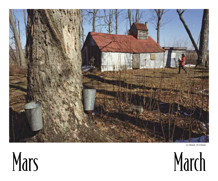

Le Shack, St-Urbain



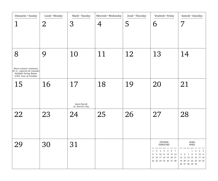| Dimanche • Sunday<br>1                                                                                        | Lundi • Monday<br>$\overline{2}$ | Mardi • Tuesday<br>$\mathfrak{Z}$        | Mercredi · Wednesday<br>4 | Jeudi · Thursday<br>5 | Vendredi · Friday<br>6                                                                                                                                                               | Samedi · Saturday<br>7                                                                                                                                            |
|---------------------------------------------------------------------------------------------------------------|----------------------------------|------------------------------------------|---------------------------|-----------------------|--------------------------------------------------------------------------------------------------------------------------------------------------------------------------------------|-------------------------------------------------------------------------------------------------------------------------------------------------------------------|
| 8<br>Heure avancée commence<br>(É.-U., majorité du Canada)<br>Daylight Saving Begins<br>(USA, most of Canada) | 9                                | 10                                       | 11                        | 12                    | 13                                                                                                                                                                                   | 14                                                                                                                                                                |
| 15                                                                                                            | 16                               | 17<br>Saint-Patrick<br>St. Patrick's Day | 18                        | 19                    | 20                                                                                                                                                                                   | 21                                                                                                                                                                |
| 22                                                                                                            | 23                               | 24                                       | 25                        | 26                    | 27                                                                                                                                                                                   | 28                                                                                                                                                                |
| 29                                                                                                            | 30                               | 31                                       |                           |                       | FÉVRIER<br><b>FEBRUARY</b><br>$\rm D/S$ $\;$ L/M $\;$ M/T $\;$ M/W $\;$ J/T $\;$ V/F $\;$ S/S<br>1 2 3 4 5 6 7<br>8 9 10 11 12 13 14<br>15 16 17 18 19 20 21<br>22 23 24 25 26 27 28 | AVRIL<br>APRIL<br>D/S L/M M/T M/W J/T V/F S/S<br>$1 \quad 2 \quad 3 \quad 4$<br>5 6 7 8 9 10 11<br>12 13 14 15 16 17 18<br>19 20 21 22 23 24 25<br>26 27 28 29 30 |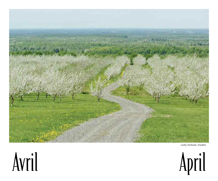

Leahy Orchards, Franklin



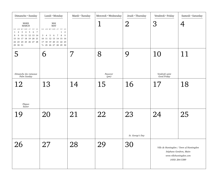| Dimanche · Sunday                                                                                                                                                                             | Lundi · Monday                                                                                                                                                                                         | Mardi • Tuesday | Mercredi · Wednesday  | Jeudi • Thursday       | Vendredi · Friday                   | Samedi · Saturday                                                                                                  |
|-----------------------------------------------------------------------------------------------------------------------------------------------------------------------------------------------|--------------------------------------------------------------------------------------------------------------------------------------------------------------------------------------------------------|-----------------|-----------------------|------------------------|-------------------------------------|--------------------------------------------------------------------------------------------------------------------|
| <b>MARS</b><br><b>MARCH</b><br>D/S L/M M/T M/W J/T V/F S/S<br>$1\quad 2\quad 3\quad 4\quad 5\quad 6\quad 7$<br>8 9 10 11 12 13 14<br>15 16 17 18 19 20 21<br>22 23 24 25 26 27 28<br>29 30 31 | $\it{MAI}$<br><b>MAY</b><br>$D/S$ L/M M/T M/W J/T V/F S/S<br>$\overline{2}$<br>$\mathbf{1}$<br>3 4 5 6 7<br>8 9<br>10 11 12 13 14 15 16<br>17 18 19 20 21 22 23<br>24/ <sub>31</sub> 25 26 27 28 29 30 |                 |                       | $\overline{2}$         | 3                                   | 4                                                                                                                  |
| 5<br>Dimanche des rameaux<br>Palm Sunday                                                                                                                                                      | 6                                                                                                                                                                                                      | 7               | 8<br>Passover<br>(pm) | 9                      | 10<br>Vendredi saint<br>Good Friday | 11                                                                                                                 |
| 12<br>Pâques<br>Easter                                                                                                                                                                        | 13                                                                                                                                                                                                     | 14              | 15                    | 16                     | 17                                  | 18                                                                                                                 |
| 19                                                                                                                                                                                            | 20                                                                                                                                                                                                     | 21              | 22                    | 23<br>St. George's Day | 24                                  | 25                                                                                                                 |
| 26                                                                                                                                                                                            | 27                                                                                                                                                                                                     | 28              | 29                    | 30                     |                                     | Ville de Huntingdon / Town of Huntingdon<br>Stéphane Gendron, Maire<br>www.villehuntingdon.com<br>$(450)$ 264-5389 |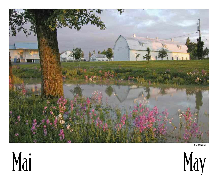

Ste-Martine



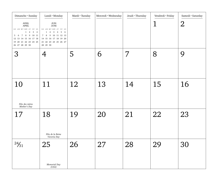| Dimanche • Sunday                                                                                                                                                                 | Lundi • Monday                                                                                                                                                                                                                | Mardi · Tuesday | Mercredi · Wednesday | Jeudi . Thursday | Vendredi · Friday | Samedi · Saturday |
|-----------------------------------------------------------------------------------------------------------------------------------------------------------------------------------|-------------------------------------------------------------------------------------------------------------------------------------------------------------------------------------------------------------------------------|-----------------|----------------------|------------------|-------------------|-------------------|
| $\operatorname{AVRIL}$<br>${\sf APRIL}$<br>D/S L/M M/T M/W J/T V/F S/S<br>$1\quad 2\quad 3\quad 4$<br>5 6 7 8 9 10 11<br>12    13    14    15    16    17    18<br>26 27 28 29 30 | $\rm J UIN$<br><b>JUNE</b><br>$\rm D/S$ $\;$ L/M $\;$ M/T $\;$ M/W $\;$ J/T $\;$ V/F $\;$ S/S $\;$<br>$1\quad 2\quad 3\quad 4\quad 5\quad 6$<br>7 8 9 10 11 12 13<br>14 15 16 17 18 19 20<br>21 22 23 24 25 26 27<br>28 29 30 |                 |                      |                  |                   | $\overline{2}$    |
| 3                                                                                                                                                                                 | 4                                                                                                                                                                                                                             | 5               | 6                    | 7                | 8                 | 9                 |
| 10<br>Fête des mères<br>Mother's Day                                                                                                                                              | 11                                                                                                                                                                                                                            | 12              | 13                   | 14               | 15                | 16                |
| 17                                                                                                                                                                                | 18<br>Fête de la Reine<br>Victoria Day                                                                                                                                                                                        | 19              | 20                   | 21               | 22                | 23                |
| $\frac{24}{31}$                                                                                                                                                                   | 25<br>Memorial Day<br>(USA)                                                                                                                                                                                                   | 26              | 27                   | 28               | 29                | 30                |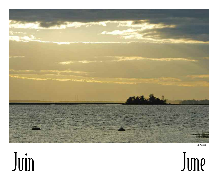

St-Anicet



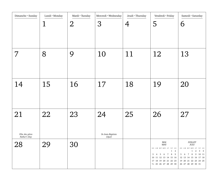| Dimanche • Sunday                    | Lundi • Monday | Mardi • Tuesday | Mercredi · Wednesday                            | Jeudi · Thursday | Vendredi · Friday                                                                                                                                                                                     | Samedi · Saturday                                                                                                                                                                                                     |
|--------------------------------------|----------------|-----------------|-------------------------------------------------|------------------|-------------------------------------------------------------------------------------------------------------------------------------------------------------------------------------------------------|-----------------------------------------------------------------------------------------------------------------------------------------------------------------------------------------------------------------------|
|                                      |                | $\overline{2}$  | 3                                               | 4                | 5                                                                                                                                                                                                     | 6                                                                                                                                                                                                                     |
|                                      |                |                 |                                                 |                  |                                                                                                                                                                                                       |                                                                                                                                                                                                                       |
| 7                                    | 8              | 9               | 10                                              | 11               | 12                                                                                                                                                                                                    | 13                                                                                                                                                                                                                    |
| 14                                   | 15             | 16              | 17                                              | 18               | 19                                                                                                                                                                                                    | 20                                                                                                                                                                                                                    |
| 21<br>Fête des pères<br>Father's Day | 22             | 23              | 24<br>$St\emph{-}Jean\emph{-}Baptiste$<br>(Qué) | 25               | 26                                                                                                                                                                                                    | 27                                                                                                                                                                                                                    |
| 28                                   | 29             | 30              |                                                 |                  | MAI<br><b>MAY</b><br>$\rm D/S$ $\;$ L/M $\;$ M/T $\;$ M/W $\;$ J/T $\;$ V/F $\;$ S/S $\;$<br>$1\quad 2$<br>3 4 5 6 7 8 9<br>10 11 12 13 14 15 16<br>17 18 19 20 21 22 23<br>$24/31$ 25 26 27 28 29 30 | <b>JUILLET</b><br>$\rm JULY$<br>$\rm D/S$ $\;$ L/M $\;$ M/T $\;$ M/W $\;$ J/T $\;$ V/F $\;$ S/S $\;$<br>$1 \quad 2 \quad 3 \quad 4$<br>5 6 7 8 9 10 11<br>12    13    14    15    16    17    18<br>26 27 28 29 30 31 |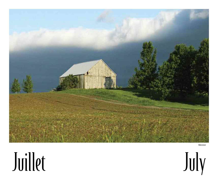

Mercier

## Juillet July

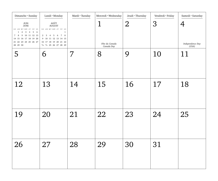| Dimanche • Sunday                                                                                                                                                                                       | Lundi · Monday                                                                                                                                                                                                           | Mardi • Tuesday | Mercredi · Wednesday                        | Jeudi • Thursday | Vendredi · Friday | Samedi · Saturday         |
|---------------------------------------------------------------------------------------------------------------------------------------------------------------------------------------------------------|--------------------------------------------------------------------------------------------------------------------------------------------------------------------------------------------------------------------------|-----------------|---------------------------------------------|------------------|-------------------|---------------------------|
| $\rm J UIN$<br>$\ensuremath{\mathsf{JUNE}}$<br>D/S L/M M/T M/W J/T V/F S/S<br>$1\quad 2\quad 3\quad 4\quad 5\quad 6$<br>7 8 9 10 11 12 13<br>14 15 16 17 18 19 20<br>21 22 23 24 25 26 27<br>28  29  30 | AOÛT<br><b>AUGUST</b><br>$\rm D/S$ $\;$ L/M $\;$ M/T $\;$ M/W $\;$ J/T $\;$ V/F $\;$ S/S $\;$<br>1<br>2 3 4 5 6 7 8<br>9 10 11 12 13 14 15<br>16 17 18 19 20 21 22<br>23/ <sub>30</sub> 24/ <sub>31</sub> 25 26 27 28 29 |                 | $\mathbf 1$<br>Fête du Canada<br>Canada Day | 2                | 3                 | Independence Day<br>(USA) |
| 5                                                                                                                                                                                                       | 6                                                                                                                                                                                                                        |                 | 8                                           | 9                | 10                | 11                        |
| 12                                                                                                                                                                                                      | 13                                                                                                                                                                                                                       | 14              | 15                                          | 16               | 17                | 18                        |
| 19                                                                                                                                                                                                      | 20                                                                                                                                                                                                                       | 21              | 22                                          | 23               | 24                | 25                        |
| 26                                                                                                                                                                                                      | 27                                                                                                                                                                                                                       | 28              | 29                                          | 30               | 31                |                           |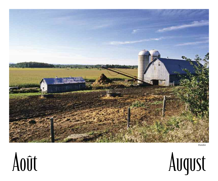

Dundee



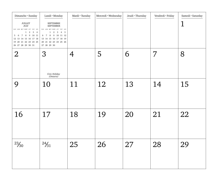| Dimanche • Sunday<br>JUILLET<br>$\rm JULY$<br>D/S $\;$ L/M $\;$ M/T $\;$ M/W $\;$ J/T $\;$ V/F $\;$ S/S $\;$<br>$1\quad 2\quad 3\quad 4$<br>5 6 7 8 9 10 11<br>12    13    14    15    16    17    18<br>19 20 21 22 23 24 25<br>26 27 28 29 30 31 | Lundi • Monday<br><b>SEPTEMBRE</b><br>SEPTEMBER<br>$\rm D/S$ $\;$ L/M $\;$ M/T $\;$ M/W $\;$ J/T $\;$ V/F $\;$ S/S $\;$<br>$1\quad 2\quad 3\quad 4\quad 5$<br>6 7 8 9 10 11 12<br>13 14 15 16 17 18 19<br>20 21 22 23 24 25 26 | Mardi • Tuesday | Mercredi · Wednesday | Jeudi · Thursday | Vendredi · Friday | Samedi · Saturday |
|----------------------------------------------------------------------------------------------------------------------------------------------------------------------------------------------------------------------------------------------------|--------------------------------------------------------------------------------------------------------------------------------------------------------------------------------------------------------------------------------|-----------------|----------------------|------------------|-------------------|-------------------|
| $\overline{2}$                                                                                                                                                                                                                                     | 3<br>Civic Holiday<br>(Ontario)                                                                                                                                                                                                | 4               | 5                    | 6                | 7                 | 8                 |
| 9                                                                                                                                                                                                                                                  | 10                                                                                                                                                                                                                             | 11              | 12                   | 13               | 14                | 15                |
| 16                                                                                                                                                                                                                                                 | 17                                                                                                                                                                                                                             | 18              | 19                   | 20               | 21                | 22                |
| $\frac{23}{30}$                                                                                                                                                                                                                                    | $\frac{24}{31}$                                                                                                                                                                                                                | 25              | 26                   | 27               | 28                | 29                |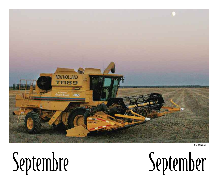

Ste-Martine

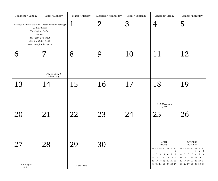| Dimanche • Sunday                                                                                                                                                                        | Lundi • Monday                | Mardi • Tuesday  | Mercredi · Wednesday | Jeudi · Thursday | Vendredi · Friday                                                                                                                                                   | Samedi · Saturday                                                                                                                                                                                                                       |
|------------------------------------------------------------------------------------------------------------------------------------------------------------------------------------------|-------------------------------|------------------|----------------------|------------------|---------------------------------------------------------------------------------------------------------------------------------------------------------------------|-----------------------------------------------------------------------------------------------------------------------------------------------------------------------------------------------------------------------------------------|
| Heritage Elementary School / École Primaire Héritage<br>21 King Street<br>Huntingdon, Québec<br><b>JOS 1HO</b><br>Tel: (450) 264-5482<br>Fax: (450) 264-3124<br>www.csnewfrontiers.qc.ca |                               |                  | $\overline{2}$       | 3                |                                                                                                                                                                     | 5                                                                                                                                                                                                                                       |
| 6                                                                                                                                                                                        | Fête du Travail<br>Labour Day | 8                | 9                    | 10               | 11                                                                                                                                                                  | 12                                                                                                                                                                                                                                      |
| 13                                                                                                                                                                                       | 14                            | 15               | 16                   | 17               | 18<br>Rosh Hashanah<br>(pm)                                                                                                                                         | 19                                                                                                                                                                                                                                      |
| 20                                                                                                                                                                                       | 21                            | 22               | 23                   | 24               | 25                                                                                                                                                                  | 26                                                                                                                                                                                                                                      |
| 27<br>Yom Kippur<br>(pm)                                                                                                                                                                 | 28                            | 29<br>Michaelmas | 30                   |                  | AOÛT<br><b>AUGUST</b><br>D/S ${\rm L/M}$ M/T M/W J/T V/F S/S<br>1<br>2 3 4 5 6 7 8<br>9 10 11 12 13 14 15<br>16 17 18 19 20 21 22<br>$23/30$ $24/31$ 25 26 27 28 29 | OCTOBRE<br><b>OCTOBER</b><br>$\rm D/S$ $\;$ L/M $\;$ M/T $\;$ M/W $\;$ J/T $\;$ V/F $\;$ S/S $\;$<br>$1 \quad 2 \quad 3$<br>4 5 6 7 8<br>9 10<br>11 12 13 14 15 16 17<br>18    19    20    21    22    23    24<br>25 26 27 28 29 30 31 |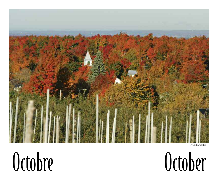

Franklin Centre

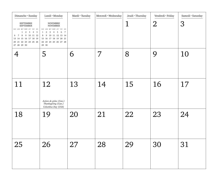| Dimanche · Sunday<br>SEPTEMBRE<br><b>SEPTEMBER</b><br>D/S L/M M/T M/W J/T V/F S/S<br>$1\quad 2\quad 3\quad 4\quad 5$<br>6 7 8 9 10 11 12<br>13 14 15 16 17 18 19<br>20 21 22 23 24 25 26 | Lundi • Monday<br><b>NOVEMBRE</b><br><b>NOVEMBER</b><br>$\rm D/S$ $\;$ L/M $\;$ M/T $\;$ M/W $\;$ J/T $\;$ V/F $\;$ S/S<br>$1 \t2 \t3 \t4 \t5 \t6 \t7$<br>8 9 10 11 12 13 14<br>15 16 17 18 19 20 21<br>22 23 24 25 26 27 28<br>29 30 | Mardi • Tuesday | Mercredi · Wednesday | Jeudi . Thursday<br>$\mathbf 1$ | Vendredi · Friday<br>$\overline{2}$ | Samedi · Saturday<br>3 |
|------------------------------------------------------------------------------------------------------------------------------------------------------------------------------------------|---------------------------------------------------------------------------------------------------------------------------------------------------------------------------------------------------------------------------------------|-----------------|----------------------|---------------------------------|-------------------------------------|------------------------|
|                                                                                                                                                                                          | 5                                                                                                                                                                                                                                     | 6               | 7                    | 8                               | 9                                   | 10                     |
| 11                                                                                                                                                                                       | 12<br>Action de grâce (Can.)<br>Thanksgiving (Can.)<br>Columbus Day (USA)                                                                                                                                                             | 13              | 14                   | 15                              | 16                                  | 17                     |
| 18                                                                                                                                                                                       | 19                                                                                                                                                                                                                                    | 20              | 21                   | 22                              | 23                                  | 24                     |
| 25                                                                                                                                                                                       | 26                                                                                                                                                                                                                                    | 27              | 28                   | 29                              | 30                                  | 31                     |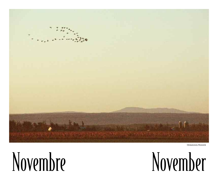

Ormstown/Howick

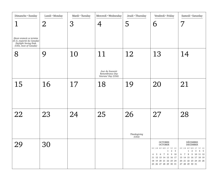| Dimanche • Sunday<br>Heure avancée se termine<br>(É.-U., majorité du Canada)<br>Daylight Saving Ends<br>(USA, most of Canada) | Lundi • Monday<br>$\overline{2}$ | Mardi • Tuesday<br>3 | Mercredi · Wednesday                                             | Jeudi · Thursday<br>5       | Vendredi · Friday<br>6                                                                                                                                                                                                                 | Samedi · Saturday<br>7                                                                                                                                                                                                  |
|-------------------------------------------------------------------------------------------------------------------------------|----------------------------------|----------------------|------------------------------------------------------------------|-----------------------------|----------------------------------------------------------------------------------------------------------------------------------------------------------------------------------------------------------------------------------------|-------------------------------------------------------------------------------------------------------------------------------------------------------------------------------------------------------------------------|
| 8                                                                                                                             | 9                                | 10                   | 11<br>Jour du Souvenir<br>Remembrance Day<br>Veterans' Day (USA) | 12                          | 13                                                                                                                                                                                                                                     | 14                                                                                                                                                                                                                      |
| 15                                                                                                                            | 16                               | 17                   | 18                                                               | 19                          | 20                                                                                                                                                                                                                                     | 21                                                                                                                                                                                                                      |
| 22                                                                                                                            | 23                               | 24                   | 25                                                               | 26<br>Thanksgiving<br>(USA) | 27                                                                                                                                                                                                                                     | 28                                                                                                                                                                                                                      |
| 29                                                                                                                            | 30                               |                      |                                                                  |                             | <b>OCTOBRE</b><br><b>OCTOBER</b><br>$\rm D/S$ $\;$ L/M $\;$ M/T $\;$ M/W $\;$ J/T $\;$ V/F $\;$ S/S<br>$1 \quad 2 \quad 3$<br>4 5 6 7 8 9 10<br>11 12 13 14 15 16 17<br>18    19    20    21    22    23    24<br>25 26 27 28 29 30 31 | DÉCEMBRE<br><b>DECEMBER</b><br>$\rm D/S$ $\;$ L/M $\;$ M/T $\;$ M/W $\;$ J/T $\;$ V/F $\;$ S/S $\;$<br>$1 \quad 2 \quad 3$<br>4 5<br>6 7 8 9 10 11 12<br>13 14 15 16 17 18 19<br>20 21 22 23 24 25 26<br>27 28 29 30 31 |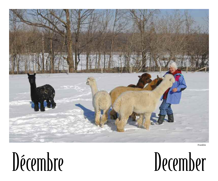

Franklin

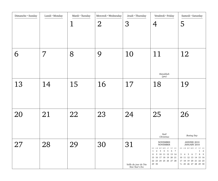| Dimanche • Sunday | Lundi • Monday | Mardi • Tuesday<br><u>1</u> | Mercredi · Wednesday<br>$\overline{2}$ | Jeudi · Thursday<br>3                          | Vendredi · Friday<br>4                                                                                                                                                                                                    | Samedi · Saturday<br>5                                                                                                                                                     |
|-------------------|----------------|-----------------------------|----------------------------------------|------------------------------------------------|---------------------------------------------------------------------------------------------------------------------------------------------------------------------------------------------------------------------------|----------------------------------------------------------------------------------------------------------------------------------------------------------------------------|
| 6                 | 7              | 8                           | 9                                      | 10                                             | 11<br>Hanukkah<br>(pm)                                                                                                                                                                                                    | 12                                                                                                                                                                         |
| 13                | 14             | 15                          | 16                                     | 17                                             | 18                                                                                                                                                                                                                        | 19                                                                                                                                                                         |
| 20                | 21             | 22                          | 23                                     | 24                                             | 25<br>Noël<br>Christmas                                                                                                                                                                                                   | 26<br><b>Boxing Day</b>                                                                                                                                                    |
| 27                | 28             | 29                          | 30                                     | 31<br>Veille du jour de l'An<br>New Year's Eve | <b>NOVEMBRE</b><br><b>NOVEMBER</b><br>$\rm D/S$ $\;$ L/M $\;$ M/T $\;$ M/W $\;$ J/T $\;$ V/F $\;$ S/S<br>3 4 5 6 7<br>$\mathbf{1}$<br>2<br>8<br>9 10 11 12 13 14<br>15 16 17 18 19 20 21<br>22 23 24 25 26 27 28<br>29 30 | JANVIER 2010<br>JANUARY 2010<br>D/S L/M M/T M/W J/T V/F S/S<br>$1\quad 2$<br>8 9<br>3 4 5 6 7<br>10 11 12 13 14 15 16<br>17 18 19 20 21 22 23<br>$24/31$ 25 26 27 28 29 30 |